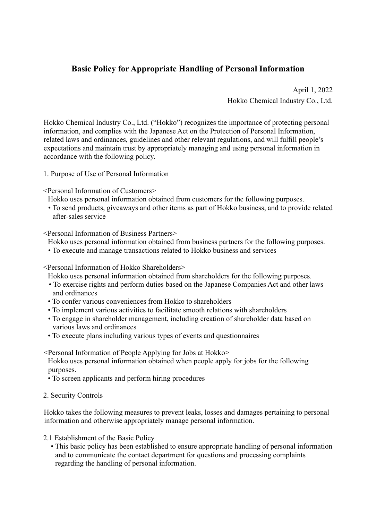## **Basic Policy for Appropriate Handling of Personal Information**

April 1, 2022 Hokko Chemical Industry Co., Ltd.

Hokko Chemical Industry Co., Ltd. ("Hokko") recognizes the importance of protecting personal information, and complies with the Japanese Act on the Protection of Personal Information, related laws and ordinances, guidelines and other relevant regulations, and will fulfill people's expectations and maintain trust by appropriately managing and using personal information in accordance with the following policy.

1. Purpose of Use of Personal Information

<Personal Information of Customers>

Hokko uses personal information obtained from customers for the following purposes.

• To send products, giveaways and other items as part of Hokko business, and to provide related after-sales service

<Personal Information of Business Partners>

Hokko uses personal information obtained from business partners for the following purposes.

• To execute and manage transactions related to Hokko business and services

<Personal Information of Hokko Shareholders>

Hokko uses personal information obtained from shareholders for the following purposes.

- To exercise rights and perform duties based on the Japanese Companies Act and other laws and ordinances
- To confer various conveniences from Hokko to shareholders
- To implement various activities to facilitate smooth relations with shareholders
- To engage in shareholder management, including creation of shareholder data based on various laws and ordinances
- To execute plans including various types of events and questionnaires

<Personal Information of People Applying for Jobs at Hokko>

Hokko uses personal information obtained when people apply for jobs for the following purposes.

• To screen applicants and perform hiring procedures

2. Security Controls

Hokko takes the following measures to prevent leaks, losses and damages pertaining to personal information and otherwise appropriately manage personal information.

- 2.1 Establishment of the Basic Policy
	- This basic policy has been established to ensure appropriate handling of personal information and to communicate the contact department for questions and processing complaints regarding the handling of personal information.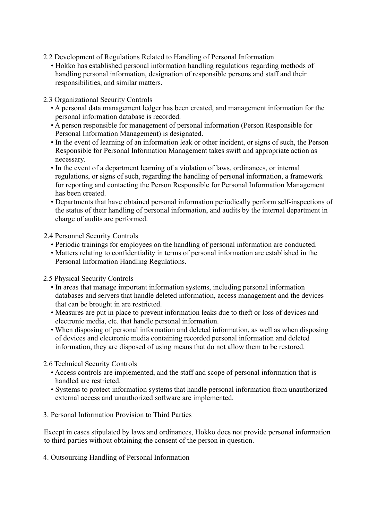- 2.2 Development of Regulations Related to Handling of Personal Information
	- Hokko has established personal information handling regulations regarding methods of handling personal information, designation of responsible persons and staff and their responsibilities, and similar matters.

2.3 Organizational Security Controls

- A personal data management ledger has been created, and management information for the personal information database is recorded.
- A person responsible for management of personal information (Person Responsible for Personal Information Management) is designated.
- In the event of learning of an information leak or other incident, or signs of such, the Person Responsible for Personal Information Management takes swift and appropriate action as necessary.
- In the event of a department learning of a violation of laws, ordinances, or internal regulations, or signs of such, regarding the handling of personal information, a framework for reporting and contacting the Person Responsible for Personal Information Management has been created.
- Departments that have obtained personal information periodically perform self-inspections of the status of their handling of personal information, and audits by the internal department in charge of audits are performed.
- 2.4 Personnel Security Controls
	- Periodic trainings for employees on the handling of personal information are conducted.
	- Matters relating to confidentiality in terms of personal information are established in the Personal Information Handling Regulations.
- 2.5 Physical Security Controls
	- In areas that manage important information systems, including personal information databases and servers that handle deleted information, access management and the devices that can be brought in are restricted.
	- Measures are put in place to prevent information leaks due to theft or loss of devices and electronic media, etc. that handle personal information.
	- When disposing of personal information and deleted information, as well as when disposing of devices and electronic media containing recorded personal information and deleted information, they are disposed of using means that do not allow them to be restored.

2.6 Technical Security Controls

- Access controls are implemented, and the staff and scope of personal information that is handled are restricted.
- Systems to protect information systems that handle personal information from unauthorized external access and unauthorized software are implemented.
- 3. Personal Information Provision to Third Parties

Except in cases stipulated by laws and ordinances, Hokko does not provide personal information to third parties without obtaining the consent of the person in question.

4. Outsourcing Handling of Personal Information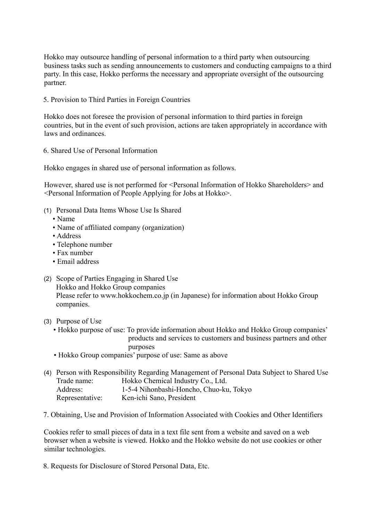Hokko may outsource handling of personal information to a third party when outsourcing business tasks such as sending announcements to customers and conducting campaigns to a third party. In this case, Hokko performs the necessary and appropriate oversight of the outsourcing partner.

5. Provision to Third Parties in Foreign Countries

Hokko does not foresee the provision of personal information to third parties in foreign countries, but in the event of such provision, actions are taken appropriately in accordance with laws and ordinances.

6. Shared Use of Personal Information

Hokko engages in shared use of personal information as follows.

However, shared use is not performed for <Personal Information of Hokko Shareholders> and <Personal Information of People Applying for Jobs at Hokko>.

- (1) Personal Data Items Whose Use Is Shared
	- Name
	- Name of affiliated company (organization)
	- Address
	- Telephone number
	- Fax number
	- Email address
- (2) Scope of Parties Engaging in Shared Use Hokko and Hokko Group companies Please refer to www.hokkochem.co.jp (in Japanese) for information about Hokko Group companies.
- (3) Purpose of Use
	- Hokko purpose of use: To provide information about Hokko and Hokko Group companies' products and services to customers and business partners and other purposes
	- Hokko Group companies' purpose of use: Same as above

|                 | (4) Person with Responsibility Regarding Management of Personal Data Subject to Shared Use |
|-----------------|--------------------------------------------------------------------------------------------|
| Trade name:     | Hokko Chemical Industry Co., Ltd.                                                          |
| Address:        | 1-5-4 Nihonbashi-Honcho, Chuo-ku, Tokyo                                                    |
| Representative: | Ken-ichi Sano, President                                                                   |

7. Obtaining, Use and Provision of Information Associated with Cookies and Other Identifiers

Cookies refer to small pieces of data in a text file sent from a website and saved on a web browser when a website is viewed. Hokko and the Hokko website do not use cookies or other similar technologies.

8. Requests for Disclosure of Stored Personal Data, Etc.